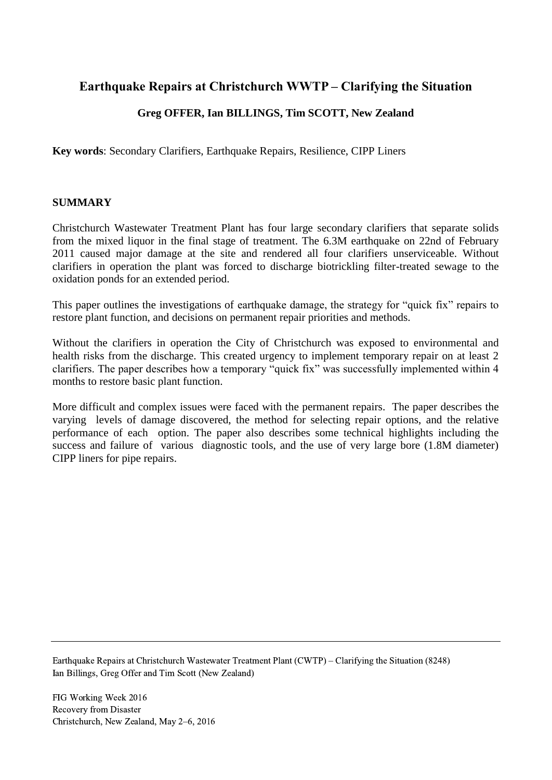# **Earthquake Repairs at Christchurch WWTP – Clarifying the Situation**

# **Greg OFFER, Ian BILLINGS, Tim SCOTT, New Zealand**

**Key words**: Secondary Clarifiers, Earthquake Repairs, Resilience, CIPP Liners

#### **SUMMARY**

Christchurch Wastewater Treatment Plant has four large secondary clarifiers that separate solids from the mixed liquor in the final stage of treatment. The 6.3M earthquake on 22nd of February 2011 caused major damage at the site and rendered all four clarifiers unserviceable. Without clarifiers in operation the plant was forced to discharge biotrickling filter-treated sewage to the oxidation ponds for an extended period.

This paper outlines the investigations of earthquake damage, the strategy for "quick fix" repairs to restore plant function, and decisions on permanent repair priorities and methods.

Without the clarifiers in operation the City of Christchurch was exposed to environmental and health risks from the discharge. This created urgency to implement temporary repair on at least 2 clarifiers. The paper describes how a temporary "quick fix" was successfully implemented within 4 months to restore basic plant function.

More difficult and complex issues were faced with the permanent repairs. The paper describes the varying levels of damage discovered, the method for selecting repair options, and the relative performance of each option. The paper also describes some technical highlights including the success and failure of various diagnostic tools, and the use of very large bore (1.8M diameter) CIPP liners for pipe repairs.

Earthquake Repairs at Christchurch Wastewater Treatment Plant (CWTP) – Clarifying the Situation (8248) Ian Billings, Greg Offer and Tim Scott (New Zealand)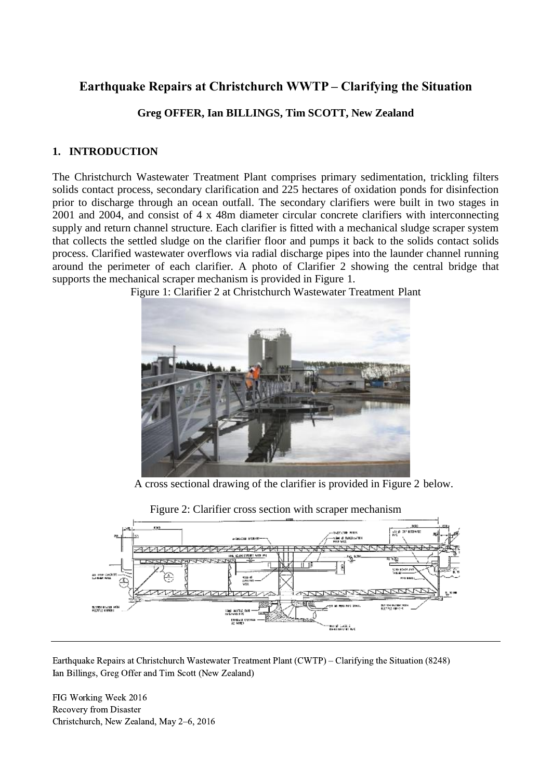# **Earthquake Repairs at Christchurch WWTP – Clarifying the Situation**

# **Greg OFFER, Ian BILLINGS, Tim SCOTT, New Zealand**

## **1. INTRODUCTION**

The Christchurch Wastewater Treatment Plant comprises primary sedimentation, trickling filters solids contact process, secondary clarification and 225 hectares of oxidation ponds for disinfection prior to discharge through an ocean outfall. The secondary clarifiers were built in two stages in 2001 and 2004, and consist of 4 x 48m diameter circular concrete clarifiers with interconnecting supply and return channel structure. Each clarifier is fitted with a mechanical sludge scraper system that collects the settled sludge on the clarifier floor and pumps it back to the solids contact solids process. Clarified wastewater overflows via radial discharge pipes into the launder channel running around the perimeter of each clarifier. A photo of Clarifier 2 showing the central bridge that supports the mechanical scraper mechanism is provided in Figure 1.



Figure 1: Clarifier 2 at Christchurch Wastewater Treatment Plant

A cross sectional drawing of the clarifier is provided in Figure 2 below.



Figure 2: Clarifier cross section with scraper mechanism

Earthquake Repairs at Christchurch Wastewater Treatment Plant (CWTP) – Clarifying the Situation (8248) Ian Billings, Greg Offer and Tim Scott (New Zealand)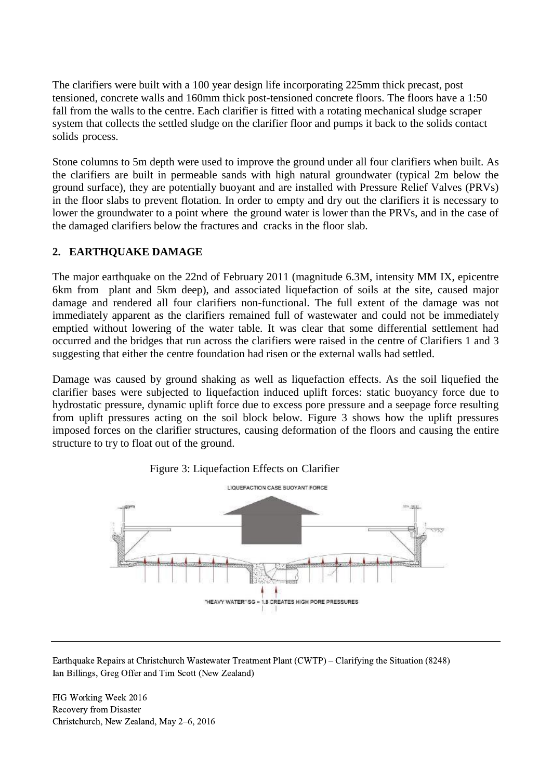The clarifiers were built with a 100 year design life incorporating 225mm thick precast, post tensioned, concrete walls and 160mm thick post-tensioned concrete floors. The floors have a 1:50 fall from the walls to the centre. Each clarifier is fitted with a rotating mechanical sludge scraper system that collects the settled sludge on the clarifier floor and pumps it back to the solids contact solids process.

Stone columns to 5m depth were used to improve the ground under all four clarifiers when built. As the clarifiers are built in permeable sands with high natural groundwater (typical 2m below the ground surface), they are potentially buoyant and are installed with Pressure Relief Valves (PRVs) in the floor slabs to prevent flotation. In order to empty and dry out the clarifiers it is necessary to lower the groundwater to a point where the ground water is lower than the PRVs, and in the case of the damaged clarifiers below the fractures and cracks in the floor slab.

## **2. EARTHQUAKE DAMAGE**

The major earthquake on the 22nd of February 2011 (magnitude 6.3M, intensity MM IX, epicentre 6km from plant and 5km deep), and associated liquefaction of soils at the site, caused major damage and rendered all four clarifiers non-functional. The full extent of the damage was not immediately apparent as the clarifiers remained full of wastewater and could not be immediately emptied without lowering of the water table. It was clear that some differential settlement had occurred and the bridges that run across the clarifiers were raised in the centre of Clarifiers 1 and 3 suggesting that either the centre foundation had risen or the external walls had settled.

Damage was caused by ground shaking as well as liquefaction effects. As the soil liquefied the clarifier bases were subjected to liquefaction induced uplift forces: static buoyancy force due to hydrostatic pressure, dynamic uplift force due to excess pore pressure and a seepage force resulting from uplift pressures acting on the soil block below. Figure 3 shows how the uplift pressures imposed forces on the clarifier structures, causing deformation of the floors and causing the entire structure to try to float out of the ground.





Earthquake Repairs at Christchurch Wastewater Treatment Plant (CWTP) – Clarifying the Situation (8248) Ian Billings, Greg Offer and Tim Scott (New Zealand)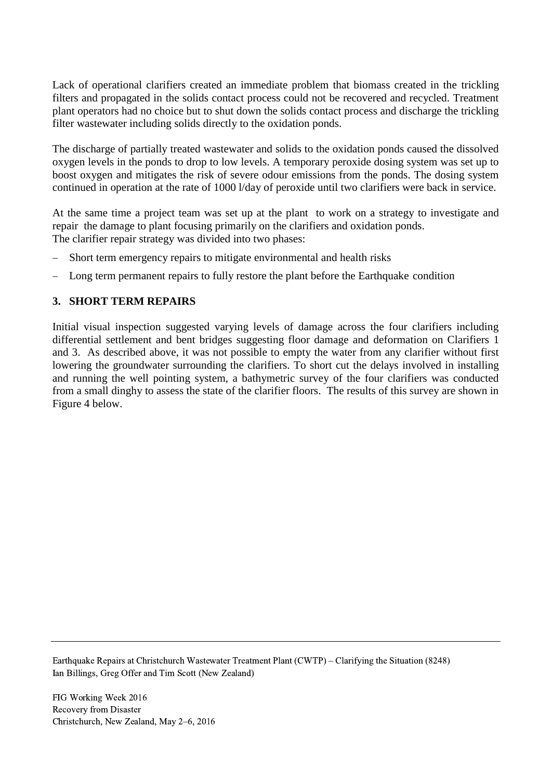Lack of operational clarifiers created an immediate problem that biomass created in the trickling filters and propagated in the solids contact process could not be recovered and recycled. Treatment plant operators had no choice but to shut down the solids contact process and discharge the trickling filter wastewater including solids directly to the oxidation ponds.

The discharge of partially treated wastewater and solids to the oxidation ponds caused the dissolved oxygen levels in the ponds to drop to low levels. A temporary peroxide dosing system was set up to boost oxygen and mitigates the risk of severe odour emissions from the ponds. The dosing system continued in operation at the rate of 1000 l/day of peroxide until two clarifiers were back in service.

At the same time a project team was set up at the plant to work on a strategy to investigate and repair the damage to plant focusing primarily on the clarifiers and oxidation ponds. The clarifier repair strategy was divided into two phases:

- Short term emergency repairs to mitigate environmental and health risks
- Long term permanent repairs to fully restore the plant before the Earthquake condition

## **3. SHORT TERM REPAIRS**

Initial visual inspection suggested varying levels of damage across the four clarifiers including differential settlement and bent bridges suggesting floor damage and deformation on Clarifiers 1 and 3. As described above, it was not possible to empty the water from any clarifier without first lowering the groundwater surrounding the clarifiers. To short cut the delays involved in installing and running the well pointing system, a bathymetric survey of the four clarifiers was conducted from a small dinghy to assess the state of the clarifier floors. The results of this survey are shown in Figure 4 below.

Earthquake Repairs at Christchurch Wastewater Treatment Plant (CWTP) – Clarifying the Situation (8248) Ian Billings, Greg Offer and Tim Scott (New Zealand)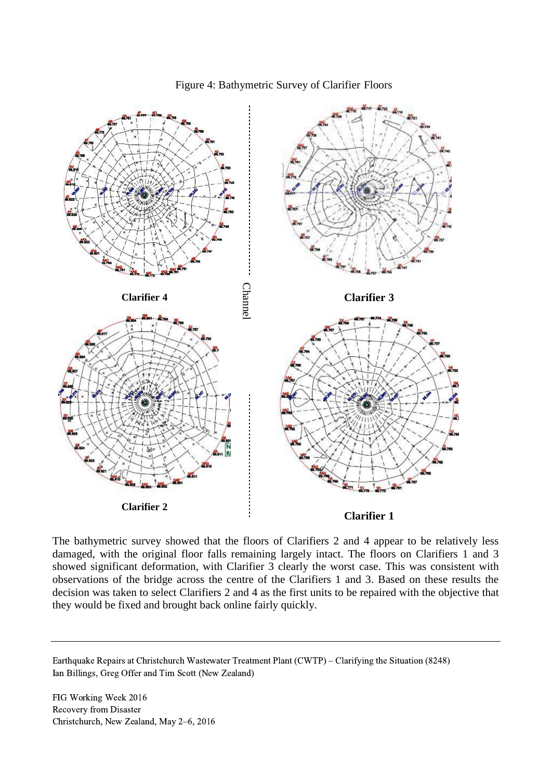

#### Figure 4: Bathymetric Survey of Clarifier Floors

The bathymetric survey showed that the floors of Clarifiers 2 and 4 appear to be relatively less damaged, with the original floor falls remaining largely intact. The floors on Clarifiers 1 and 3 showed significant deformation, with Clarifier 3 clearly the worst case. This was consistent with observations of the bridge across the centre of the Clarifiers 1 and 3. Based on these results the decision was taken to select Clarifiers 2 and 4 as the first units to be repaired with the objective that they would be fixed and brought back online fairly quickly.

Earthquake Repairs at Christchurch Wastewater Treatment Plant (CWTP) – Clarifying the Situation (8248) Ian Billings, Greg Offer and Tim Scott (New Zealand)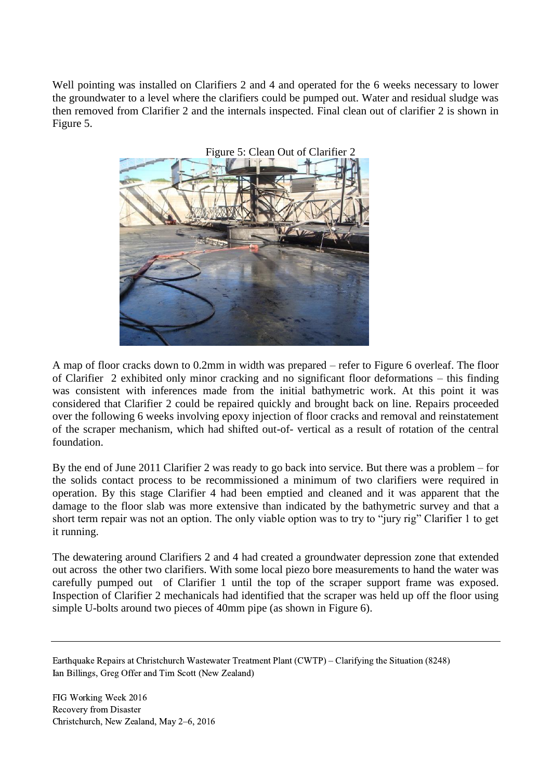Well pointing was installed on Clarifiers 2 and 4 and operated for the 6 weeks necessary to lower the groundwater to a level where the clarifiers could be pumped out. Water and residual sludge was then removed from Clarifier 2 and the internals inspected. Final clean out of clarifier 2 is shown in Figure 5.



A map of floor cracks down to 0.2mm in width was prepared – refer to Figure 6 overleaf. The floor of Clarifier 2 exhibited only minor cracking and no significant floor deformations – this finding was consistent with inferences made from the initial bathymetric work. At this point it was considered that Clarifier 2 could be repaired quickly and brought back on line. Repairs proceeded over the following 6 weeks involving epoxy injection of floor cracks and removal and reinstatement of the scraper mechanism, which had shifted out-of- vertical as a result of rotation of the central foundation.

By the end of June 2011 Clarifier 2 was ready to go back into service. But there was a problem – for the solids contact process to be recommissioned a minimum of two clarifiers were required in operation. By this stage Clarifier 4 had been emptied and cleaned and it was apparent that the damage to the floor slab was more extensive than indicated by the bathymetric survey and that a short term repair was not an option. The only viable option was to try to "jury rig" Clarifier 1 to get it running.

The dewatering around Clarifiers 2 and 4 had created a groundwater depression zone that extended out across the other two clarifiers. With some local piezo bore measurements to hand the water was carefully pumped out of Clarifier 1 until the top of the scraper support frame was exposed. Inspection of Clarifier 2 mechanicals had identified that the scraper was held up off the floor using simple U-bolts around two pieces of 40mm pipe (as shown in Figure 6).

Earthquake Repairs at Christchurch Wastewater Treatment Plant (CWTP) – Clarifying the Situation (8248) Ian Billings, Greg Offer and Tim Scott (New Zealand)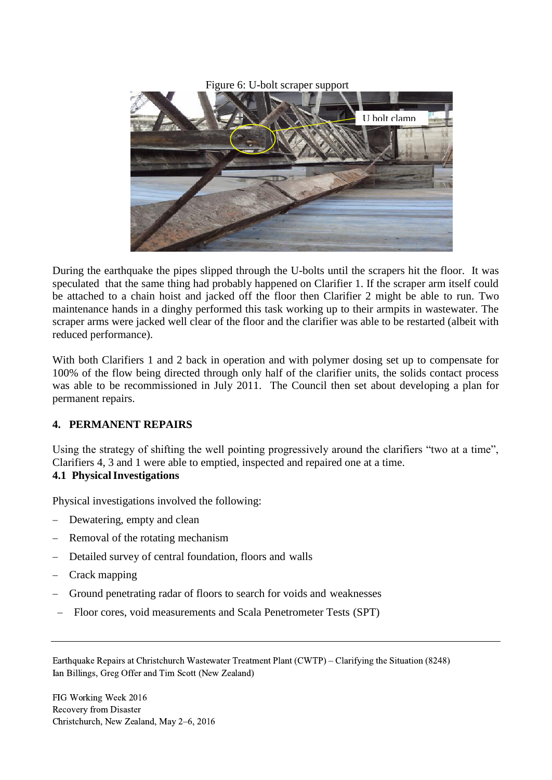Figure 6: U-bolt scraper support



During the earthquake the pipes slipped through the U-bolts until the scrapers hit the floor. It was speculated that the same thing had probably happened on Clarifier 1. If the scraper arm itself could be attached to a chain hoist and jacked off the floor then Clarifier 2 might be able to run. Two maintenance hands in a dinghy performed this task working up to their armpits in wastewater. The scraper arms were jacked well clear of the floor and the clarifier was able to be restarted (albeit with reduced performance).

With both Clarifiers 1 and 2 back in operation and with polymer dosing set up to compensate for 100% of the flow being directed through only half of the clarifier units, the solids contact process was able to be recommissioned in July 2011. The Council then set about developing a plan for permanent repairs.

## **4. PERMANENT REPAIRS**

Using the strategy of shifting the well pointing progressively around the clarifiers "two at a time", Clarifiers 4, 3 and 1 were able to emptied, inspected and repaired one at a time.

## **4.1 PhysicalInvestigations**

Physical investigations involved the following:

- Dewatering, empty and clean
- Removal of the rotating mechanism
- Detailed survey of central foundation, floors and walls
- Crack mapping
- Ground penetrating radar of floors to search for voids and weaknesses
- Floor cores, void measurements and Scala Penetrometer Tests (SPT)

Earthquake Repairs at Christchurch Wastewater Treatment Plant (CWTP) – Clarifying the Situation (8248) Ian Billings, Greg Offer and Tim Scott (New Zealand)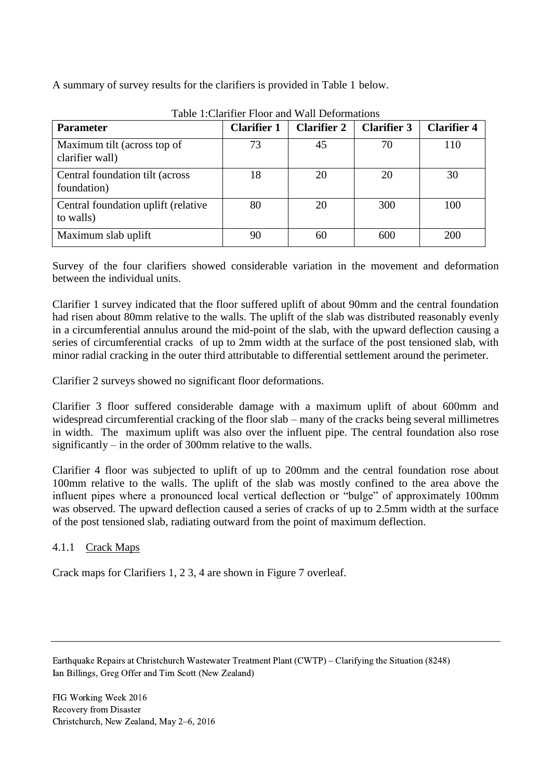A summary of survey results for the clarifiers is provided in Table 1 below.

| <b>Parameter</b>                                  | <b>Clarifier 1</b> | <b>Clarifier 2</b> | <b>Clarifier 3</b> | <b>Clarifier 4</b> |
|---------------------------------------------------|--------------------|--------------------|--------------------|--------------------|
| Maximum tilt (across top of<br>clarifier wall)    | 73                 | 45                 | 70                 | 110                |
| Central foundation tilt (across)<br>foundation)   | 18                 | 20                 | 20                 | 30                 |
| Central foundation uplift (relative)<br>to walls) | 80                 | 20                 | 300                | 100                |
| Maximum slab uplift                               | 90                 | 60                 | 600                | 200                |

Table 1:Clarifier Floor and Wall Deformations

Survey of the four clarifiers showed considerable variation in the movement and deformation between the individual units.

Clarifier 1 survey indicated that the floor suffered uplift of about 90mm and the central foundation had risen about 80mm relative to the walls. The uplift of the slab was distributed reasonably evenly in a circumferential annulus around the mid-point of the slab, with the upward deflection causing a series of circumferential cracks of up to 2mm width at the surface of the post tensioned slab, with minor radial cracking in the outer third attributable to differential settlement around the perimeter.

Clarifier 2 surveys showed no significant floor deformations.

Clarifier 3 floor suffered considerable damage with a maximum uplift of about 600mm and widespread circumferential cracking of the floor slab – many of the cracks being several millimetres in width. The maximum uplift was also over the influent pipe. The central foundation also rose significantly – in the order of 300mm relative to the walls.

Clarifier 4 floor was subjected to uplift of up to 200mm and the central foundation rose about 100mm relative to the walls. The uplift of the slab was mostly confined to the area above the influent pipes where a pronounced local vertical deflection or "bulge" of approximately 100mm was observed. The upward deflection caused a series of cracks of up to 2.5mm width at the surface of the post tensioned slab, radiating outward from the point of maximum deflection.

## 4.1.1 Crack Maps

Crack maps for Clarifiers 1, 2 3, 4 are shown in Figure 7 overleaf.

Earthquake Repairs at Christchurch Wastewater Treatment Plant (CWTP) – Clarifying the Situation (8248) Ian Billings, Greg Offer and Tim Scott (New Zealand)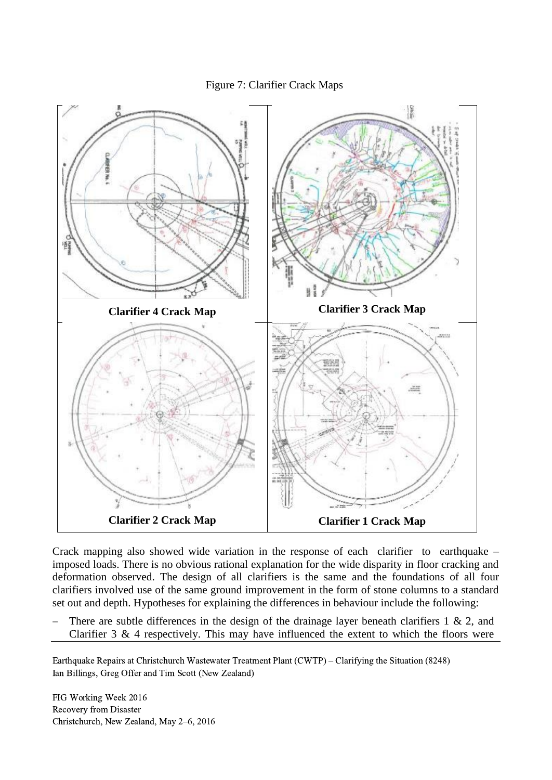#### Figure 7: Clarifier Crack Maps



Crack mapping also showed wide variation in the response of each clarifier to earthquake – imposed loads. There is no obvious rational explanation for the wide disparity in floor cracking and deformation observed. The design of all clarifiers is the same and the foundations of all four clarifiers involved use of the same ground improvement in the form of stone columns to a standard set out and depth. Hypotheses for explaining the differences in behaviour include the following:

There are subtle differences in the design of the drainage layer beneath clarifiers  $1 \& 2$ , and Clarifier 3 & 4 respectively. This may have influenced the extent to which the floors were

Earthquake Repairs at Christchurch Wastewater Treatment Plant (CWTP) – Clarifying the Situation (8248) Ian Billings, Greg Offer and Tim Scott (New Zealand)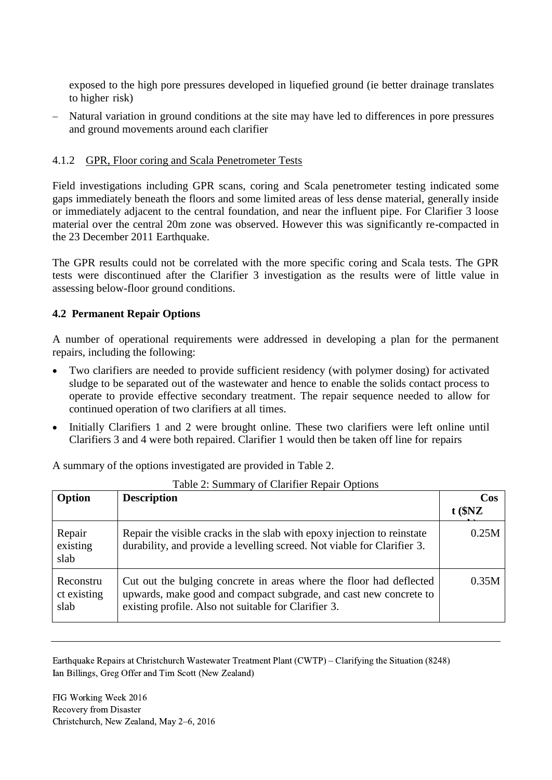exposed to the high pore pressures developed in liquefied ground (ie better drainage translates to higher risk)

 Natural variation in ground conditions at the site may have led to differences in pore pressures and ground movements around each clarifier

#### 4.1.2 GPR, Floor coring and Scala Penetrometer Tests

Field investigations including GPR scans, coring and Scala penetrometer testing indicated some gaps immediately beneath the floors and some limited areas of less dense material, generally inside or immediately adjacent to the central foundation, and near the influent pipe. For Clarifier 3 loose material over the central 20m zone was observed. However this was significantly re-compacted in the 23 December 2011 Earthquake.

The GPR results could not be correlated with the more specific coring and Scala tests. The GPR tests were discontinued after the Clarifier 3 investigation as the results were of little value in assessing below-floor ground conditions.

#### **4.2 Permanent Repair Options**

A number of operational requirements were addressed in developing a plan for the permanent repairs, including the following:

- Two clarifiers are needed to provide sufficient residency (with polymer dosing) for activated sludge to be separated out of the wastewater and hence to enable the solids contact process to operate to provide effective secondary treatment. The repair sequence needed to allow for continued operation of two clarifiers at all times.
- Initially Clarifiers 1 and 2 were brought online. These two clarifiers were left online until Clarifiers 3 and 4 were both repaired. Clarifier 1 would then be taken off line for repairs

A summary of the options investigated are provided in Table 2.

| Option                           | <b>Description</b>                                                                                                                                                                               | Cos<br>$t$ ( $NZ$ |
|----------------------------------|--------------------------------------------------------------------------------------------------------------------------------------------------------------------------------------------------|-------------------|
| Repair<br>existing<br>slab       | Repair the visible cracks in the slab with epoxy injection to reinstate<br>durability, and provide a levelling screed. Not viable for Clarifier 3.                                               | 0.25M             |
| Reconstru<br>ct existing<br>slab | Cut out the bulging concrete in areas where the floor had deflected<br>upwards, make good and compact subgrade, and cast new concrete to<br>existing profile. Also not suitable for Clarifier 3. | 0.35M             |

Table 2: Summary of Clarifier Repair Options

Earthquake Repairs at Christchurch Wastewater Treatment Plant (CWTP) – Clarifying the Situation (8248) Ian Billings, Greg Offer and Tim Scott (New Zealand)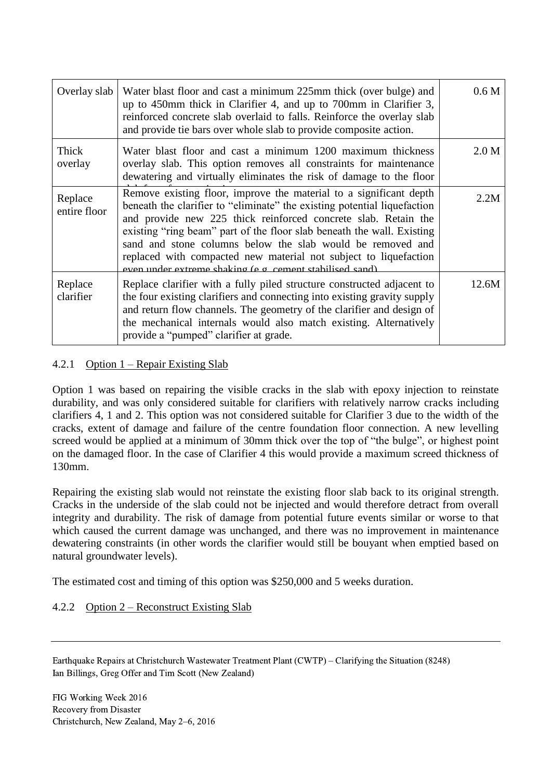| Overlay slab            | Water blast floor and cast a minimum 225mm thick (over bulge) and<br>up to 450mm thick in Clarifier 4, and up to 700mm in Clarifier 3,<br>reinforced concrete slab overlaid to falls. Reinforce the overlay slab<br>and provide tie bars over whole slab to provide composite action.                                                                                                                                                                                                   | 0.6 <sub>M</sub> |
|-------------------------|-----------------------------------------------------------------------------------------------------------------------------------------------------------------------------------------------------------------------------------------------------------------------------------------------------------------------------------------------------------------------------------------------------------------------------------------------------------------------------------------|------------------|
| Thick<br>overlay        | Water blast floor and cast a minimum 1200 maximum thickness<br>overlay slab. This option removes all constraints for maintenance<br>dewatering and virtually eliminates the risk of damage to the floor                                                                                                                                                                                                                                                                                 | 2.0 M            |
| Replace<br>entire floor | Remove existing floor, improve the material to a significant depth<br>beneath the clarifier to "eliminate" the existing potential liquefaction<br>and provide new 225 thick reinforced concrete slab. Retain the<br>existing "ring beam" part of the floor slab beneath the wall. Existing<br>sand and stone columns below the slab would be removed and<br>replaced with compacted new material not subject to liquefaction<br>even under extreme shaking (e g cement stabilised sand) | 2.2M             |
| Replace<br>clarifier    | Replace clarifier with a fully piled structure constructed adjacent to<br>the four existing clarifiers and connecting into existing gravity supply<br>and return flow channels. The geometry of the clarifier and design of<br>the mechanical internals would also match existing. Alternatively<br>provide a "pumped" clarifier at grade.                                                                                                                                              | 12.6M            |

#### 4.2.1 Option 1 – Repair Existing Slab

Option 1 was based on repairing the visible cracks in the slab with epoxy injection to reinstate durability, and was only considered suitable for clarifiers with relatively narrow cracks including clarifiers 4, 1 and 2. This option was not considered suitable for Clarifier 3 due to the width of the cracks, extent of damage and failure of the centre foundation floor connection. A new levelling screed would be applied at a minimum of 30mm thick over the top of "the bulge", or highest point on the damaged floor. In the case of Clarifier 4 this would provide a maximum screed thickness of 130mm.

Repairing the existing slab would not reinstate the existing floor slab back to its original strength. Cracks in the underside of the slab could not be injected and would therefore detract from overall integrity and durability. The risk of damage from potential future events similar or worse to that which caused the current damage was unchanged, and there was no improvement in maintenance dewatering constraints (in other words the clarifier would still be bouyant when emptied based on natural groundwater levels).

The estimated cost and timing of this option was \$250,000 and 5 weeks duration.

## 4.2.2 Option 2 – Reconstruct Existing Slab

Earthquake Repairs at Christchurch Wastewater Treatment Plant (CWTP) – Clarifying the Situation (8248) Ian Billings, Greg Offer and Tim Scott (New Zealand)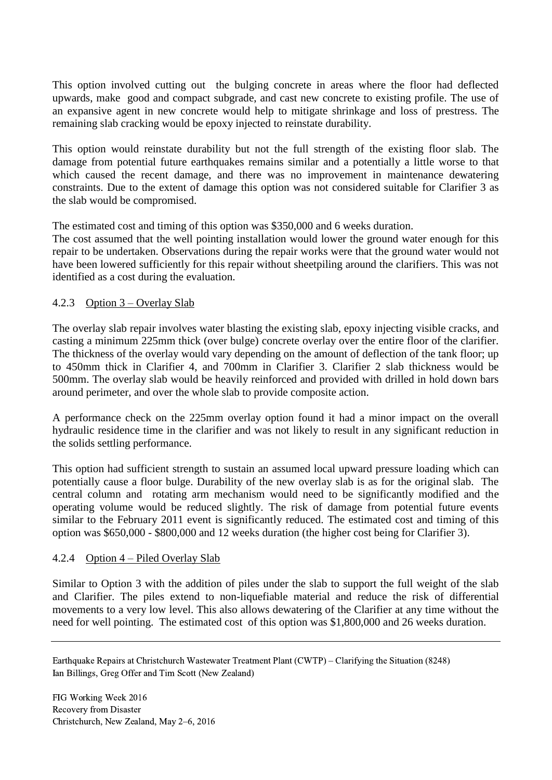This option involved cutting out the bulging concrete in areas where the floor had deflected upwards, make good and compact subgrade, and cast new concrete to existing profile. The use of an expansive agent in new concrete would help to mitigate shrinkage and loss of prestress. The remaining slab cracking would be epoxy injected to reinstate durability.

This option would reinstate durability but not the full strength of the existing floor slab. The damage from potential future earthquakes remains similar and a potentially a little worse to that which caused the recent damage, and there was no improvement in maintenance dewatering constraints. Due to the extent of damage this option was not considered suitable for Clarifier 3 as the slab would be compromised.

The estimated cost and timing of this option was \$350,000 and 6 weeks duration.

The cost assumed that the well pointing installation would lower the ground water enough for this repair to be undertaken. Observations during the repair works were that the ground water would not have been lowered sufficiently for this repair without sheetpiling around the clarifiers. This was not identified as a cost during the evaluation.

## 4.2.3 Option 3 – Overlay Slab

The overlay slab repair involves water blasting the existing slab, epoxy injecting visible cracks, and casting a minimum 225mm thick (over bulge) concrete overlay over the entire floor of the clarifier. The thickness of the overlay would vary depending on the amount of deflection of the tank floor; up to 450mm thick in Clarifier 4, and 700mm in Clarifier 3. Clarifier 2 slab thickness would be 500mm. The overlay slab would be heavily reinforced and provided with drilled in hold down bars around perimeter, and over the whole slab to provide composite action.

A performance check on the 225mm overlay option found it had a minor impact on the overall hydraulic residence time in the clarifier and was not likely to result in any significant reduction in the solids settling performance.

This option had sufficient strength to sustain an assumed local upward pressure loading which can potentially cause a floor bulge. Durability of the new overlay slab is as for the original slab. The central column and rotating arm mechanism would need to be significantly modified and the operating volume would be reduced slightly. The risk of damage from potential future events similar to the February 2011 event is significantly reduced. The estimated cost and timing of this option was \$650,000 - \$800,000 and 12 weeks duration (the higher cost being for Clarifier 3).

#### 4.2.4 Option 4 – Piled Overlay Slab

Similar to Option 3 with the addition of piles under the slab to support the full weight of the slab and Clarifier. The piles extend to non-liquefiable material and reduce the risk of differential movements to a very low level. This also allows dewatering of the Clarifier at any time without the need for well pointing. The estimated cost of this option was \$1,800,000 and 26 weeks duration.

Earthquake Repairs at Christchurch Wastewater Treatment Plant (CWTP) – Clarifying the Situation (8248) Ian Billings, Greg Offer and Tim Scott (New Zealand)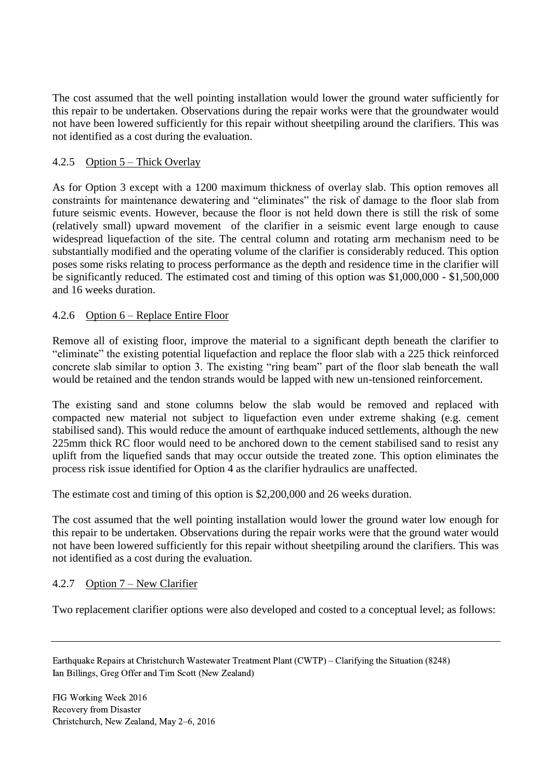The cost assumed that the well pointing installation would lower the ground water sufficiently for this repair to be undertaken. Observations during the repair works were that the groundwater would not have been lowered sufficiently for this repair without sheetpiling around the clarifiers. This was not identified as a cost during the evaluation.

# 4.2.5 Option 5 – Thick Overlay

As for Option 3 except with a 1200 maximum thickness of overlay slab. This option removes all constraints for maintenance dewatering and "eliminates" the risk of damage to the floor slab from future seismic events. However, because the floor is not held down there is still the risk of some (relatively small) upward movement of the clarifier in a seismic event large enough to cause widespread liquefaction of the site. The central column and rotating arm mechanism need to be substantially modified and the operating volume of the clarifier is considerably reduced. This option poses some risks relating to process performance as the depth and residence time in the clarifier will be significantly reduced. The estimated cost and timing of this option was \$1,000,000 - \$1,500,000 and 16 weeks duration.

## 4.2.6 Option 6 – Replace Entire Floor

Remove all of existing floor, improve the material to a significant depth beneath the clarifier to "eliminate" the existing potential liquefaction and replace the floor slab with a 225 thick reinforced concrete slab similar to option 3. The existing "ring beam" part of the floor slab beneath the wall would be retained and the tendon strands would be lapped with new un-tensioned reinforcement.

The existing sand and stone columns below the slab would be removed and replaced with compacted new material not subject to liquefaction even under extreme shaking (e.g. cement stabilised sand). This would reduce the amount of earthquake induced settlements, although the new 225mm thick RC floor would need to be anchored down to the cement stabilised sand to resist any uplift from the liquefied sands that may occur outside the treated zone. This option eliminates the process risk issue identified for Option 4 as the clarifier hydraulics are unaffected.

The estimate cost and timing of this option is \$2,200,000 and 26 weeks duration.

The cost assumed that the well pointing installation would lower the ground water low enough for this repair to be undertaken. Observations during the repair works were that the ground water would not have been lowered sufficiently for this repair without sheetpiling around the clarifiers. This was not identified as a cost during the evaluation.

## 4.2.7 Option 7 – New Clarifier

Two replacement clarifier options were also developed and costed to a conceptual level; as follows:

Earthquake Repairs at Christchurch Wastewater Treatment Plant (CWTP) – Clarifying the Situation (8248) Ian Billings, Greg Offer and Tim Scott (New Zealand)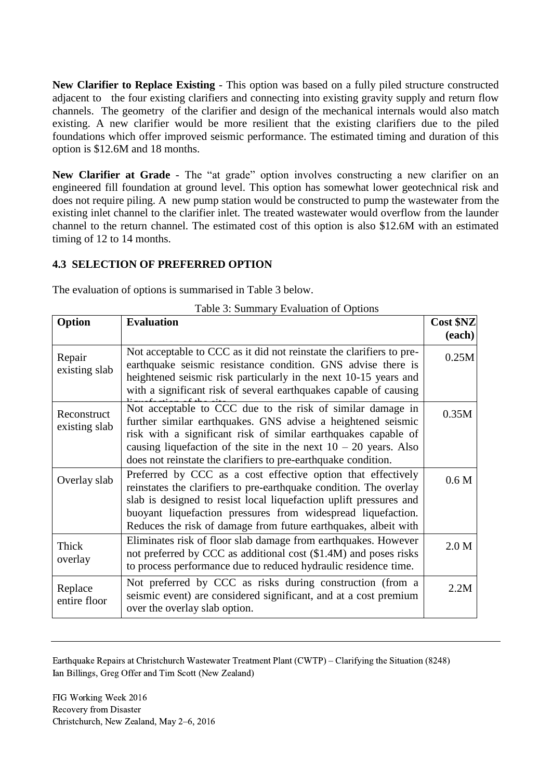**New Clarifier to Replace Existing** - This option was based on a fully piled structure constructed adjacent to the four existing clarifiers and connecting into existing gravity supply and return flow channels. The geometry of the clarifier and design of the mechanical internals would also match existing. A new clarifier would be more resilient that the existing clarifiers due to the piled foundations which offer improved seismic performance. The estimated timing and duration of this option is \$12.6M and 18 months.

**New Clarifier at Grade** - The "at grade" option involves constructing a new clarifier on an engineered fill foundation at ground level. This option has somewhat lower geotechnical risk and does not require piling. A new pump station would be constructed to pump the wastewater from the existing inlet channel to the clarifier inlet. The treated wastewater would overflow from the launder channel to the return channel. The estimated cost of this option is also \$12.6M with an estimated timing of 12 to 14 months.

## **4.3 SELECTION OF PREFERRED OPTION**

The evaluation of options is summarised in Table 3 below.

| Option                       | <b>Evaluation</b>                                                                                                                                                                                                                                                                                                                           |        |
|------------------------------|---------------------------------------------------------------------------------------------------------------------------------------------------------------------------------------------------------------------------------------------------------------------------------------------------------------------------------------------|--------|
|                              |                                                                                                                                                                                                                                                                                                                                             | (each) |
| Repair<br>existing slab      | Not acceptable to CCC as it did not reinstate the clarifiers to pre-<br>earthquake seismic resistance condition. GNS advise there is<br>heightened seismic risk particularly in the next 10-15 years and<br>with a significant risk of several earthquakes capable of causing                                                               | 0.25M  |
| Reconstruct<br>existing slab | Not acceptable to CCC due to the risk of similar damage in<br>further similar earthquakes. GNS advise a heightened seismic<br>risk with a significant risk of similar earthquakes capable of<br>causing liquefaction of the site in the next $10 - 20$ years. Also<br>does not reinstate the clarifiers to pre-earthquake condition.        | 0.35M  |
| Overlay slab                 | Preferred by CCC as a cost effective option that effectively<br>reinstates the clarifiers to pre-earthquake condition. The overlay<br>slab is designed to resist local liquefaction uplift pressures and<br>buoyant liquefaction pressures from widespread liquefaction.<br>Reduces the risk of damage from future earthquakes, albeit with | 0.6 M  |
| Thick<br>overlay             | Eliminates risk of floor slab damage from earthquakes. However<br>not preferred by CCC as additional cost (\$1.4M) and poses risks<br>to process performance due to reduced hydraulic residence time.                                                                                                                                       | 2.0 M  |
| Replace<br>entire floor      | Not preferred by CCC as risks during construction (from a<br>seismic event) are considered significant, and at a cost premium<br>over the overlay slab option.                                                                                                                                                                              | 2.2M   |

Table 3: Summary Evaluation of Options

Earthquake Repairs at Christchurch Wastewater Treatment Plant (CWTP) – Clarifying the Situation (8248) Ian Billings, Greg Offer and Tim Scott (New Zealand)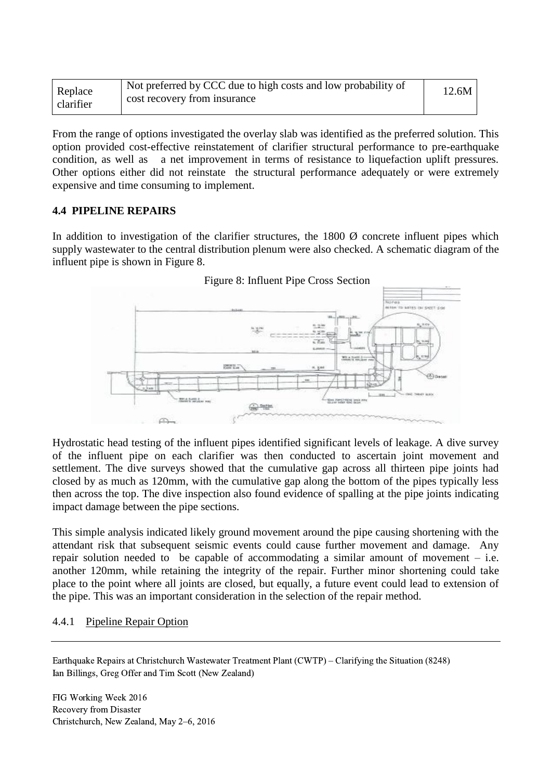| Not preferred by CCC due to high costs and low probability of<br>Replace<br>cost recovery from insurance<br>clarifier | 12.6M |
|-----------------------------------------------------------------------------------------------------------------------|-------|
|-----------------------------------------------------------------------------------------------------------------------|-------|

From the range of options investigated the overlay slab was identified as the preferred solution. This option provided cost-effective reinstatement of clarifier structural performance to pre-earthquake condition, as well as a net improvement in terms of resistance to liquefaction uplift pressures. Other options either did not reinstate the structural performance adequately or were extremely expensive and time consuming to implement.

#### **4.4 PIPELINE REPAIRS**

In addition to investigation of the clarifier structures, the  $1800 \, \varnothing$  concrete influent pipes which supply wastewater to the central distribution plenum were also checked. A schematic diagram of the influent pipe is shown in Figure 8.



Figure 8: Influent Pipe Cross Section

Hydrostatic head testing of the influent pipes identified significant levels of leakage. A dive survey of the influent pipe on each clarifier was then conducted to ascertain joint movement and settlement. The dive surveys showed that the cumulative gap across all thirteen pipe joints had closed by as much as 120mm, with the cumulative gap along the bottom of the pipes typically less then across the top. The dive inspection also found evidence of spalling at the pipe joints indicating impact damage between the pipe sections.

This simple analysis indicated likely ground movement around the pipe causing shortening with the attendant risk that subsequent seismic events could cause further movement and damage. Any repair solution needed to be capable of accommodating a similar amount of movement – i.e. another 120mm, while retaining the integrity of the repair. Further minor shortening could take place to the point where all joints are closed, but equally, a future event could lead to extension of the pipe. This was an important consideration in the selection of the repair method.

#### 4.4.1 Pipeline Repair Option

Earthquake Repairs at Christchurch Wastewater Treatment Plant (CWTP) – Clarifying the Situation (8248) Ian Billings, Greg Offer and Tim Scott (New Zealand)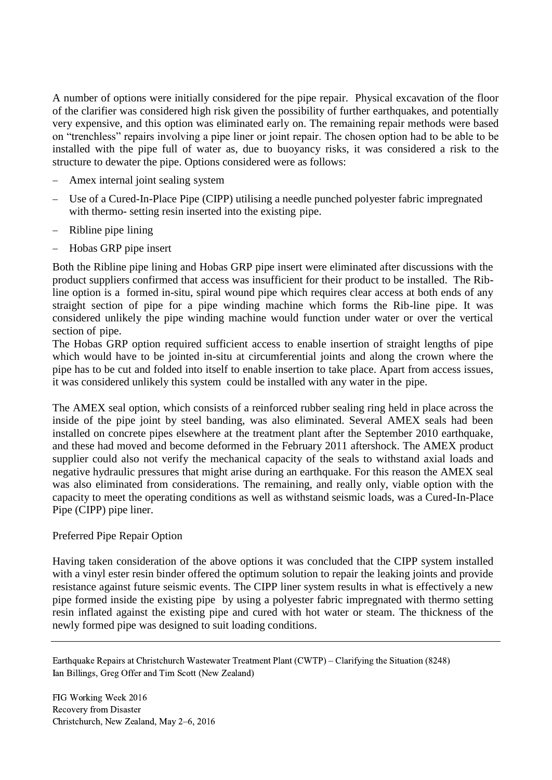A number of options were initially considered for the pipe repair. Physical excavation of the floor of the clarifier was considered high risk given the possibility of further earthquakes, and potentially very expensive, and this option was eliminated early on. The remaining repair methods were based on "trenchless" repairs involving a pipe liner or joint repair. The chosen option had to be able to be installed with the pipe full of water as, due to buoyancy risks, it was considered a risk to the structure to dewater the pipe. Options considered were as follows:

- Amex internal joint sealing system
- Use of a Cured-In-Place Pipe (CIPP) utilising a needle punched polyester fabric impregnated with thermo- setting resin inserted into the existing pipe.
- Ribline pipe lining
- Hobas GRP pipe insert

Both the Ribline pipe lining and Hobas GRP pipe insert were eliminated after discussions with the product suppliers confirmed that access was insufficient for their product to be installed. The Ribline option is a formed in-situ, spiral wound pipe which requires clear access at both ends of any straight section of pipe for a pipe winding machine which forms the Rib-line pipe. It was considered unlikely the pipe winding machine would function under water or over the vertical section of pipe.

The Hobas GRP option required sufficient access to enable insertion of straight lengths of pipe which would have to be jointed in-situ at circumferential joints and along the crown where the pipe has to be cut and folded into itself to enable insertion to take place. Apart from access issues, it was considered unlikely this system could be installed with any water in the pipe.

The AMEX seal option, which consists of a reinforced rubber sealing ring held in place across the inside of the pipe joint by steel banding, was also eliminated. Several AMEX seals had been installed on concrete pipes elsewhere at the treatment plant after the September 2010 earthquake, and these had moved and become deformed in the February 2011 aftershock. The AMEX product supplier could also not verify the mechanical capacity of the seals to withstand axial loads and negative hydraulic pressures that might arise during an earthquake. For this reason the AMEX seal was also eliminated from considerations. The remaining, and really only, viable option with the capacity to meet the operating conditions as well as withstand seismic loads, was a Cured-In-Place Pipe (CIPP) pipe liner.

## Preferred Pipe Repair Option

Having taken consideration of the above options it was concluded that the CIPP system installed with a vinyl ester resin binder offered the optimum solution to repair the leaking joints and provide resistance against future seismic events. The CIPP liner system results in what is effectively a new pipe formed inside the existing pipe by using a polyester fabric impregnated with thermo setting resin inflated against the existing pipe and cured with hot water or steam. The thickness of the newly formed pipe was designed to suit loading conditions.

Earthquake Repairs at Christchurch Wastewater Treatment Plant (CWTP) – Clarifying the Situation (8248) Ian Billings, Greg Offer and Tim Scott (New Zealand)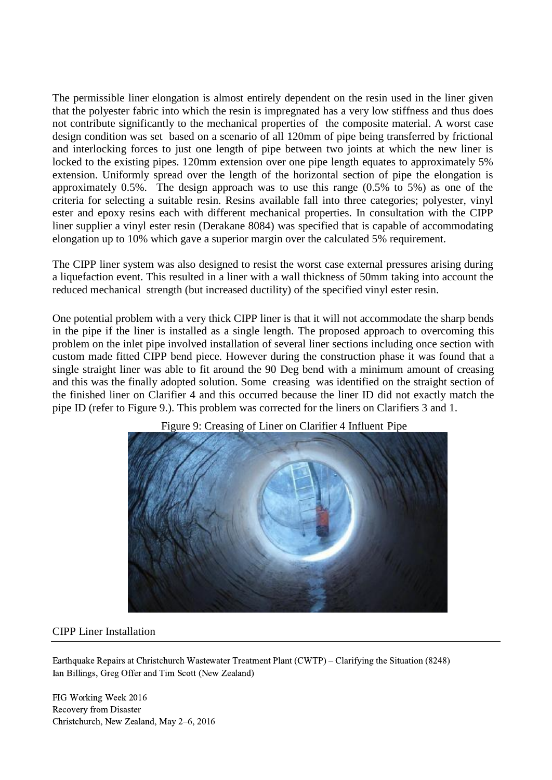The permissible liner elongation is almost entirely dependent on the resin used in the liner given that the polyester fabric into which the resin is impregnated has a very low stiffness and thus does not contribute significantly to the mechanical properties of the composite material. A worst case design condition was set based on a scenario of all 120mm of pipe being transferred by frictional and interlocking forces to just one length of pipe between two joints at which the new liner is locked to the existing pipes. 120mm extension over one pipe length equates to approximately 5% extension. Uniformly spread over the length of the horizontal section of pipe the elongation is approximately 0.5%. The design approach was to use this range (0.5% to 5%) as one of the criteria for selecting a suitable resin. Resins available fall into three categories; polyester, vinyl ester and epoxy resins each with different mechanical properties. In consultation with the CIPP liner supplier a vinyl ester resin (Derakane 8084) was specified that is capable of accommodating elongation up to 10% which gave a superior margin over the calculated 5% requirement.

The CIPP liner system was also designed to resist the worst case external pressures arising during a liquefaction event. This resulted in a liner with a wall thickness of 50mm taking into account the reduced mechanical strength (but increased ductility) of the specified vinyl ester resin.

One potential problem with a very thick CIPP liner is that it will not accommodate the sharp bends in the pipe if the liner is installed as a single length. The proposed approach to overcoming this problem on the inlet pipe involved installation of several liner sections including once section with custom made fitted CIPP bend piece. However during the construction phase it was found that a single straight liner was able to fit around the 90 Deg bend with a minimum amount of creasing and this was the finally adopted solution. Some creasing was identified on the straight section of the finished liner on Clarifier 4 and this occurred because the liner ID did not exactly match the pipe ID (refer to Figure 9.). This problem was corrected for the liners on Clarifiers 3 and 1.



Figure 9: Creasing of Liner on Clarifier 4 Influent Pipe

#### CIPP Liner Installation

Earthquake Repairs at Christchurch Wastewater Treatment Plant (CWTP) – Clarifying the Situation (8248) Ian Billings, Greg Offer and Tim Scott (New Zealand)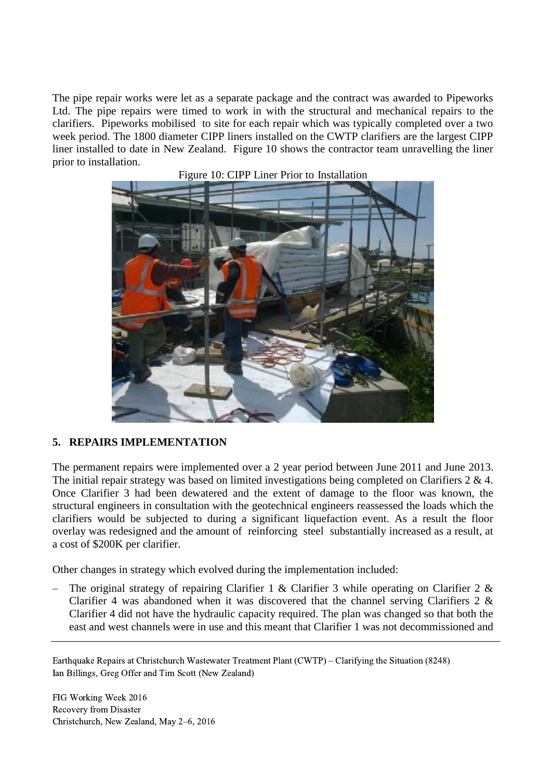The pipe repair works were let as a separate package and the contract was awarded to Pipeworks Ltd. The pipe repairs were timed to work in with the structural and mechanical repairs to the clarifiers. Pipeworks mobilised to site for each repair which was typically completed over a two week period. The 1800 diameter CIPP liners installed on the CWTP clarifiers are the largest CIPP liner installed to date in New Zealand. Figure 10 shows the contractor team unravelling the liner prior to installation.





#### **5. REPAIRS IMPLEMENTATION**

The permanent repairs were implemented over a 2 year period between June 2011 and June 2013. The initial repair strategy was based on limited investigations being completed on Clarifiers 2 & 4. Once Clarifier 3 had been dewatered and the extent of damage to the floor was known, the structural engineers in consultation with the geotechnical engineers reassessed the loads which the clarifiers would be subjected to during a significant liquefaction event. As a result the floor overlay was redesigned and the amount of reinforcing steel substantially increased as a result, at a cost of \$200K per clarifier.

Other changes in strategy which evolved during the implementation included:

 The original strategy of repairing Clarifier 1 & Clarifier 3 while operating on Clarifier 2 & Clarifier 4 was abandoned when it was discovered that the channel serving Clarifiers 2 & Clarifier 4 did not have the hydraulic capacity required. The plan was changed so that both the east and west channels were in use and this meant that Clarifier 1 was not decommissioned and

Earthquake Repairs at Christchurch Wastewater Treatment Plant (CWTP) – Clarifying the Situation (8248) Ian Billings, Greg Offer and Tim Scott (New Zealand)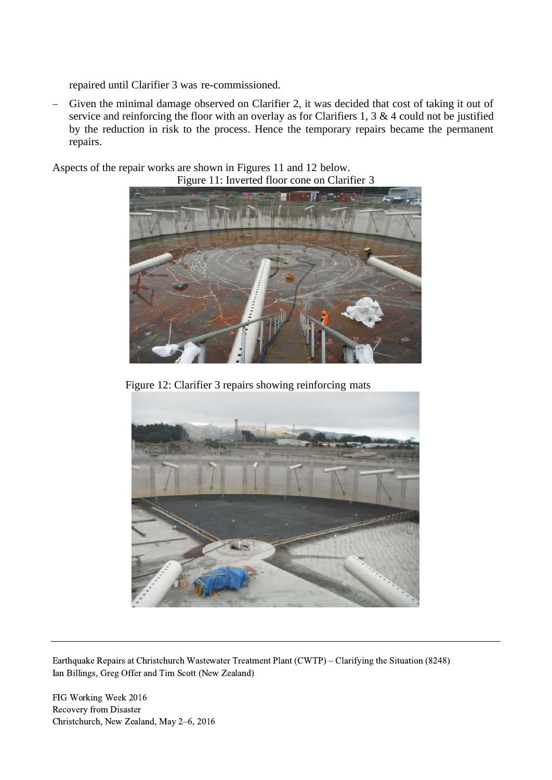repaired until Clarifier 3 was re-commissioned.

 Given the minimal damage observed on Clarifier 2, it was decided that cost of taking it out of service and reinforcing the floor with an overlay as for Clarifiers 1, 3 & 4 could not be justified by the reduction in risk to the process. Hence the temporary repairs became the permanent repairs.

Aspects of the repair works are shown in Figures 11 and 12 below.





Figure 12: Clarifier 3 repairs showing reinforcing mats



Earthquake Repairs at Christchurch Wastewater Treatment Plant (CWTP) – Clarifying the Situation (8248) Ian Billings, Greg Offer and Tim Scott (New Zealand)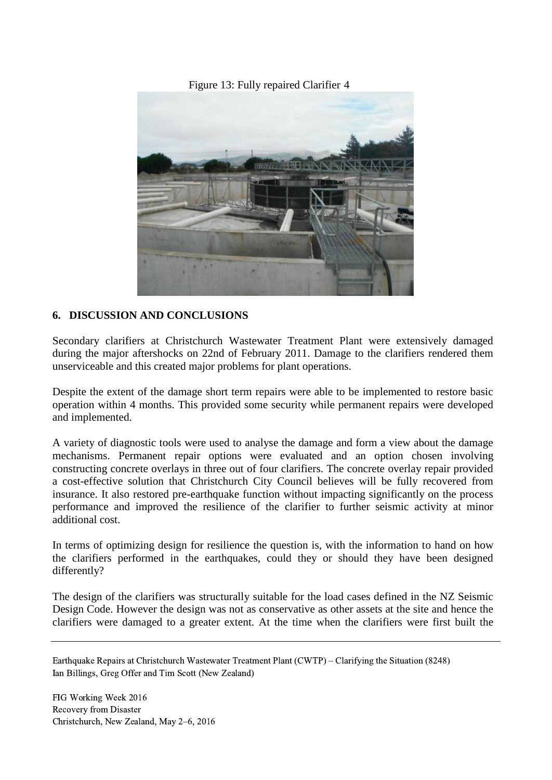Figure 13: Fully repaired Clarifier 4



## **6. DISCUSSION AND CONCLUSIONS**

Secondary clarifiers at Christchurch Wastewater Treatment Plant were extensively damaged during the major aftershocks on 22nd of February 2011. Damage to the clarifiers rendered them unserviceable and this created major problems for plant operations.

Despite the extent of the damage short term repairs were able to be implemented to restore basic operation within 4 months. This provided some security while permanent repairs were developed and implemented.

A variety of diagnostic tools were used to analyse the damage and form a view about the damage mechanisms. Permanent repair options were evaluated and an option chosen involving constructing concrete overlays in three out of four clarifiers. The concrete overlay repair provided a cost-effective solution that Christchurch City Council believes will be fully recovered from insurance. It also restored pre-earthquake function without impacting significantly on the process performance and improved the resilience of the clarifier to further seismic activity at minor additional cost.

In terms of optimizing design for resilience the question is, with the information to hand on how the clarifiers performed in the earthquakes, could they or should they have been designed differently?

The design of the clarifiers was structurally suitable for the load cases defined in the NZ Seismic Design Code. However the design was not as conservative as other assets at the site and hence the clarifiers were damaged to a greater extent. At the time when the clarifiers were first built the

Earthquake Repairs at Christchurch Wastewater Treatment Plant (CWTP) – Clarifying the Situation (8248) Ian Billings, Greg Offer and Tim Scott (New Zealand)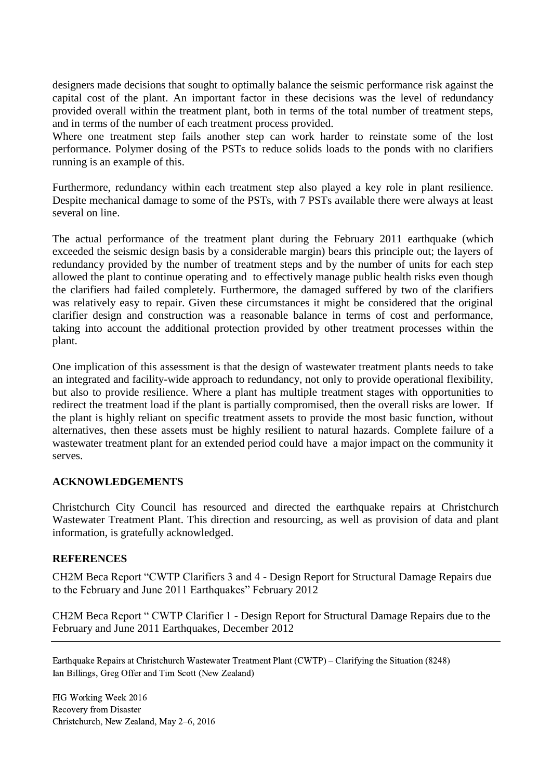designers made decisions that sought to optimally balance the seismic performance risk against the capital cost of the plant. An important factor in these decisions was the level of redundancy provided overall within the treatment plant, both in terms of the total number of treatment steps, and in terms of the number of each treatment process provided.

Where one treatment step fails another step can work harder to reinstate some of the lost performance. Polymer dosing of the PSTs to reduce solids loads to the ponds with no clarifiers running is an example of this.

Furthermore, redundancy within each treatment step also played a key role in plant resilience. Despite mechanical damage to some of the PSTs, with 7 PSTs available there were always at least several on line.

The actual performance of the treatment plant during the February 2011 earthquake (which exceeded the seismic design basis by a considerable margin) bears this principle out; the layers of redundancy provided by the number of treatment steps and by the number of units for each step allowed the plant to continue operating and to effectively manage public health risks even though the clarifiers had failed completely. Furthermore, the damaged suffered by two of the clarifiers was relatively easy to repair. Given these circumstances it might be considered that the original clarifier design and construction was a reasonable balance in terms of cost and performance, taking into account the additional protection provided by other treatment processes within the plant.

One implication of this assessment is that the design of wastewater treatment plants needs to take an integrated and facility-wide approach to redundancy, not only to provide operational flexibility, but also to provide resilience. Where a plant has multiple treatment stages with opportunities to redirect the treatment load if the plant is partially compromised, then the overall risks are lower. If the plant is highly reliant on specific treatment assets to provide the most basic function, without alternatives, then these assets must be highly resilient to natural hazards. Complete failure of a wastewater treatment plant for an extended period could have a major impact on the community it serves.

## **ACKNOWLEDGEMENTS**

Christchurch City Council has resourced and directed the earthquake repairs at Christchurch Wastewater Treatment Plant. This direction and resourcing, as well as provision of data and plant information, is gratefully acknowledged.

#### **REFERENCES**

CH2M Beca Report "CWTP Clarifiers 3 and 4 - Design Report for Structural Damage Repairs due to the February and June 2011 Earthquakes" February 2012

CH2M Beca Report " CWTP Clarifier 1 - Design Report for Structural Damage Repairs due to the February and June 2011 Earthquakes, December 2012

Earthquake Repairs at Christchurch Wastewater Treatment Plant (CWTP) – Clarifying the Situation (8248) Ian Billings, Greg Offer and Tim Scott (New Zealand)